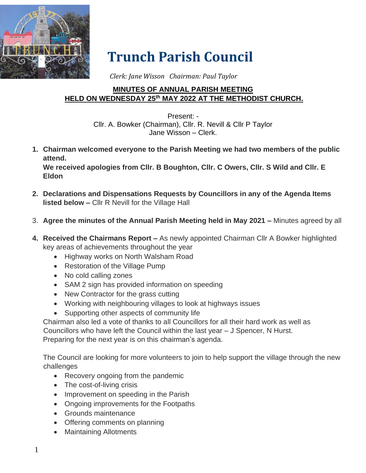

# **Trunch Parish Council**

 *Clerk: Jane Wisson Chairman: Paul Taylor*

### **MINUTES OF ANNUAL PARISH MEETING HELD ON WEDNESDAY 25 th MAY 2022 AT THE METHODIST CHURCH.**

Present: - Cllr. A. Bowker (Chairman), Cllr. R. Nevill & Cllr P Taylor Jane Wisson – Clerk.

**1. Chairman welcomed everyone to the Parish Meeting we had two members of the public attend.** 

**We received apologies from Cllr. B Boughton, Cllr. C Owers, Cllr. S Wild and Cllr. E Eldon**

- **2. Declarations and Dispensations Requests by Councillors in any of the Agenda Items listed below –** Cllr R Nevill for the Village Hall
- 3. **Agree the minutes of the Annual Parish Meeting held in May 2021 –** Minutes agreed by all
- **4. Received the Chairmans Report –** As newly appointed Chairman Cllr A Bowker highlighted key areas of achievements throughout the year
	- Highway works on North Walsham Road
	- Restoration of the Village Pump
	- No cold calling zones
	- SAM 2 sign has provided information on speeding
	- New Contractor for the grass cutting
	- Working with neighbouring villages to look at highways issues
	- Supporting other aspects of community life

Chairman also led a vote of thanks to all Councillors for all their hard work as well as Councillors who have left the Council within the last year – J Spencer, N Hurst. Preparing for the next year is on this chairman's agenda.

The Council are looking for more volunteers to join to help support the village through the new challenges

- Recovery ongoing from the pandemic
- The cost-of-living crisis
- Improvement on speeding in the Parish
- Ongoing improvements for the Footpaths
- Grounds maintenance
- Offering comments on planning
- Maintaining Allotments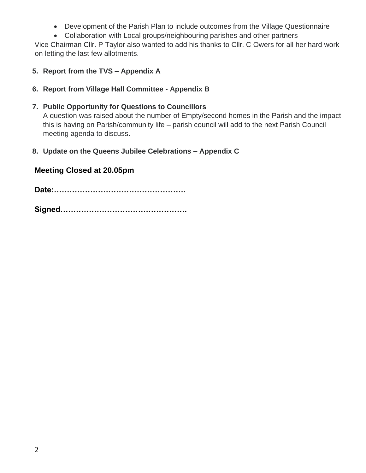- Development of the Parish Plan to include outcomes from the Village Questionnaire
- Collaboration with Local groups/neighbouring parishes and other partners

Vice Chairman Cllr. P Taylor also wanted to add his thanks to Cllr. C Owers for all her hard work on letting the last few allotments.

- **5. Report from the TVS – Appendix A**
- **6. Report from Village Hall Committee - Appendix B**
- **7. Public Opportunity for Questions to Councillors**

A question was raised about the number of Empty/second homes in the Parish and the impact this is having on Parish/community life – parish council will add to the next Parish Council meeting agenda to discuss.

**8. Update on the Queens Jubilee Celebrations – Appendix C**

### **Meeting Closed at 20.05pm**

**Date:……………………………………………**

**Signed………………………………………….**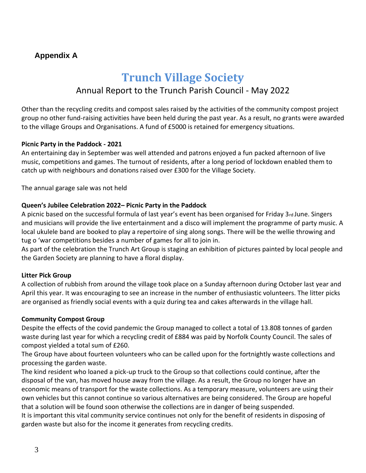## **Appendix A**

# **Trunch Village Society**

## Annual Report to the Trunch Parish Council - May 2022

Other than the recycling credits and compost sales raised by the activities of the community compost project group no other fund-raising activities have been held during the past year. As a result, no grants were awarded to the village Groups and Organisations. A fund of £5000 is retained for emergency situations.

#### **Picnic Party in the Paddock - 2021**

An entertaining day in September was well attended and patrons enjoyed a fun packed afternoon of live music, competitions and games. The turnout of residents, after a long period of lockdown enabled them to catch up with neighbours and donations raised over £300 for the Village Society.

The annual garage sale was not held

#### **Queen's Jubilee Celebration 2022– Picnic Party in the Paddock**

A picnic based on the successful formula of last year's event has been organised for Friday 3rd June. Singers and musicians will provide the live entertainment and a disco will implement the programme of party music. A local ukulele band are booked to play a repertoire of sing along songs. There will be the wellie throwing and tug o 'war competitions besides a number of games for all to join in.

As part of the celebration the Trunch Art Group is staging an exhibition of pictures painted by local people and the Garden Society are planning to have a floral display.

#### **Litter Pick Group**

A collection of rubbish from around the village took place on a Sunday afternoon during October last year and April this year. It was encouraging to see an increase in the number of enthusiastic volunteers. The litter picks are organised as friendly social events with a quiz during tea and cakes afterwards in the village hall.

#### **Community Compost Group**

Despite the effects of the covid pandemic the Group managed to collect a total of 13.808 tonnes of garden waste during last year for which a recycling credit of £884 was paid by Norfolk County Council. The sales of compost yielded a total sum of £260.

The Group have about fourteen volunteers who can be called upon for the fortnightly waste collections and processing the garden waste.

The kind resident who loaned a pick-up truck to the Group so that collections could continue, after the disposal of the van, has moved house away from the village. As a result, the Group no longer have an economic means of transport for the waste collections. As a temporary measure, volunteers are using their own vehicles but this cannot continue so various alternatives are being considered. The Group are hopeful that a solution will be found soon otherwise the collections are in danger of being suspended. It is important this vital community service continues not only for the benefit of residents in disposing of garden waste but also for the income it generates from recycling credits.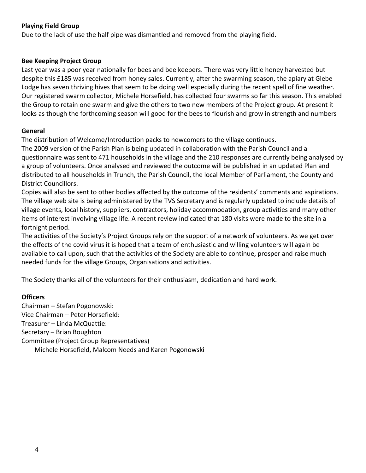#### **Playing Field Group**

Due to the lack of use the half pipe was dismantled and removed from the playing field.

#### **Bee Keeping Project Group**

Last year was a poor year nationally for bees and bee keepers. There was very little honey harvested but despite this £185 was received from honey sales. Currently, after the swarming season, the apiary at Glebe Lodge has seven thriving hives that seem to be doing well especially during the recent spell of fine weather. Our registered swarm collector, Michele Horsefield, has collected four swarms so far this season. This enabled the Group to retain one swarm and give the others to two new members of the Project group. At present it looks as though the forthcoming season will good for the bees to flourish and grow in strength and numbers

#### **General**

The distribution of Welcome/Introduction packs to newcomers to the village continues.

The 2009 version of the Parish Plan is being updated in collaboration with the Parish Council and a questionnaire was sent to 471 households in the village and the 210 responses are currently being analysed by a group of volunteers. Once analysed and reviewed the outcome will be published in an updated Plan and distributed to all households in Trunch, the Parish Council, the local Member of Parliament, the County and District Councillors.

Copies will also be sent to other bodies affected by the outcome of the residents' comments and aspirations. The village web site is being administered by the TVS Secretary and is regularly updated to include details of village events, local history, suppliers, contractors, holiday accommodation, group activities and many other items of interest involving village life. A recent review indicated that 180 visits were made to the site in a fortnight period.

The activities of the Society's Project Groups rely on the support of a network of volunteers. As we get over the effects of the covid virus it is hoped that a team of enthusiastic and willing volunteers will again be available to call upon, such that the activities of the Society are able to continue, prosper and raise much needed funds for the village Groups, Organisations and activities.

The Society thanks all of the volunteers for their enthusiasm, dedication and hard work.

#### **Officers**

Chairman – Stefan Pogonowski: Vice Chairman – Peter Horsefield: Treasurer – Linda McQuattie: Secretary – Brian Boughton Committee (Project Group Representatives) Michele Horsefield, Malcom Needs and Karen Pogonowski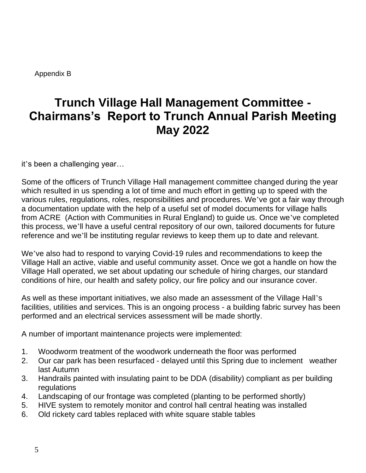Appendix B

# **Trunch Village Hall Management Committee - Chairmans's Report to Trunch Annual Parish Meeting May 2022**

it's been a challenging year…

Some of the officers of Trunch Village Hall management committee changed during the year which resulted in us spending a lot of time and much effort in getting up to speed with the various rules, regulations, roles, responsibilities and procedures. We've got a fair way through a documentation update with the help of a useful set of model documents for village halls from ACRE (Action with Communities in Rural England) to guide us. Once we've completed this process, we'll have a useful central repository of our own, tailored documents for future reference and we'll be instituting regular reviews to keep them up to date and relevant.

We've also had to respond to varying Covid-19 rules and recommendations to keep the Village Hall an active, viable and useful community asset. Once we got a handle on how the Village Hall operated, we set about updating our schedule of hiring charges, our standard conditions of hire, our health and safety policy, our fire policy and our insurance cover.

As well as these important initiatives, we also made an assessment of the Village Hall's facilities, utilities and services. This is an ongoing process - a building fabric survey has been performed and an electrical services assessment will be made shortly.

A number of important maintenance projects were implemented:

- 1. Woodworm treatment of the woodwork underneath the floor was performed
- 2. Our car park has been resurfaced delayed until this Spring due to inclement weather last Autumn
- 3. Handrails painted with insulating paint to be DDA (disability) compliant as per building regulations
- 4. Landscaping of our frontage was completed (planting to be performed shortly)
- 5. HIVE system to remotely monitor and control hall central heating was installed
- 6. Old rickety card tables replaced with white square stable tables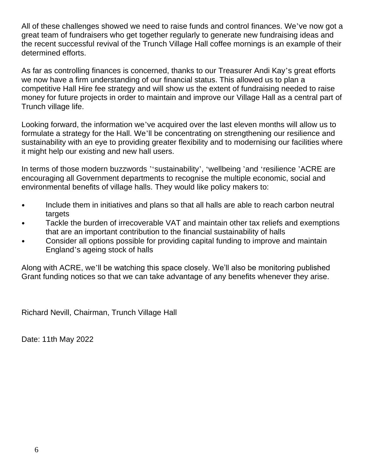All of these challenges showed we need to raise funds and control finances. We've now got a great team of fundraisers who get together regularly to generate new fundraising ideas and the recent successful revival of the Trunch Village Hall coffee mornings is an example of their determined efforts.

As far as controlling finances is concerned, thanks to our Treasurer Andi Kay's great efforts we now have a firm understanding of our financial status. This allowed us to plan a competitive Hall Hire fee strategy and will show us the extent of fundraising needed to raise money for future projects in order to maintain and improve our Village Hall as a central part of Trunch village life.

Looking forward, the information we've acquired over the last eleven months will allow us to formulate a strategy for the Hall. We'll be concentrating on strengthening our resilience and sustainability with an eye to providing greater flexibility and to modernising our facilities where it might help our existing and new hall users.

In terms of those modern buzzwords "sustainability", 'wellbeing 'and 'resilience 'ACRE are encouraging all Government departments to recognise the multiple economic, social and environmental benefits of village halls. They would like policy makers to:

- Include them in initiatives and plans so that all halls are able to reach carbon neutral targets
- Tackle the burden of irrecoverable VAT and maintain other tax reliefs and exemptions that are an important contribution to the financial sustainability of halls
- Consider all options possible for providing capital funding to improve and maintain England's ageing stock of halls

Along with ACRE, we'll be watching this space closely. We'll also be monitoring published Grant funding notices so that we can take advantage of any benefits whenever they arise.

Richard Nevill, Chairman, Trunch Village Hall

Date: 11th May 2022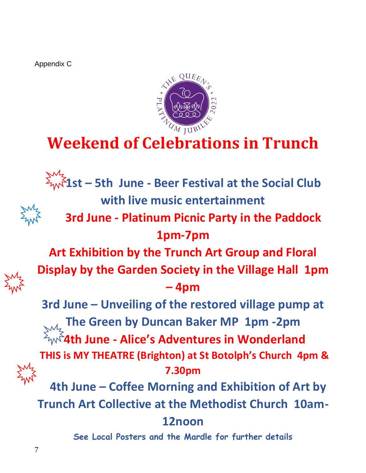Appendix C



# **Weekend of Celebrations in Trunch**

 **1st – 5th June - Beer Festival at the Social Club with live music entertainment** 

 **3rd June - Platinum Picnic Party in the Paddock 1pm-7pm**

**Art Exhibition by the Trunch Art Group and Floral Display by the Garden Society in the Village Hall 1pm – 4pm**

**3rd June – Unveiling of the restored village pump at The Green by Duncan Baker MP 1pm -2pm 4th June - Alice's Adventures in Wonderland THIS is MY THEATRE (Brighton) at St Botolph's Church 4pm & 7.30pm**

 **4th June – Coffee Morning and Exhibition of Art by Trunch Art Collective at the Methodist Church 10am-**

## **12noon**

**See Local Posters and the Mardle for further details**